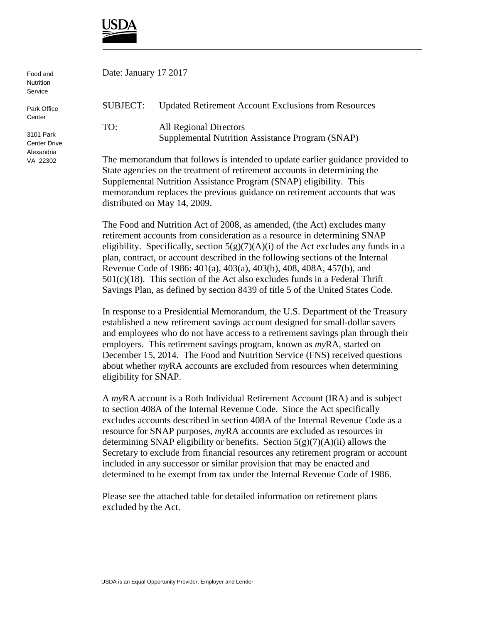

| Food and<br><b>Nutrition</b><br>Service        |                                                                             | Date: January 17 2017                                                             |  |
|------------------------------------------------|-----------------------------------------------------------------------------|-----------------------------------------------------------------------------------|--|
| Park Office<br>Center                          | SUBJECT:                                                                    | <b>Updated Retirement Account Exclusions from Resources</b>                       |  |
| 3101 Park<br><b>Center Drive</b><br>Alexandria | TO:                                                                         | <b>All Regional Directors</b><br>Supplemental Nutrition Assistance Program (SNAP) |  |
| VA 22302                                       | The memorandum that follows is intended to update earlier guidance provided |                                                                                   |  |

The memorandum that follows is intended to update earlier guidance provided to State agencies on the treatment of retirement accounts in determining the Supplemental Nutrition Assistance Program (SNAP) eligibility. This memorandum replaces the previous guidance on retirement accounts that was distributed on May 14, 2009.

The Food and Nutrition Act of 2008, as amended, (the Act) excludes many retirement accounts from consideration as a resource in determining SNAP eligibility. Specifically, section  $5(g)(7)(A)(i)$  of the Act excludes any funds in a plan, contract, or account described in the following sections of the Internal Revenue Code of 1986: 401(a), 403(a), 403(b), 408, 408A, 457(b), and  $501(c)(18)$ . This section of the Act also excludes funds in a Federal Thrift Savings Plan, as defined by section 8439 of title 5 of the United States Code.

In response to a Presidential Memorandum, the U.S. Department of the Treasury established a new retirement savings account designed for small-dollar savers and employees who do not have access to a retirement savings plan through their employers. This retirement savings program, known as *my*RA, started on December 15, 2014. The Food and Nutrition Service (FNS) received questions about whether *my*RA accounts are excluded from resources when determining eligibility for SNAP.

A *my*RA account is a Roth Individual Retirement Account (IRA) and is subject to section 408A of the Internal Revenue Code. Since the Act specifically excludes accounts described in section 408A of the Internal Revenue Code as a resource for SNAP purposes, *my*RA accounts are excluded as resources in determining SNAP eligibility or benefits. Section  $5(g)(7)(A)(ii)$  allows the Secretary to exclude from financial resources any retirement program or account included in any successor or similar provision that may be enacted and determined to be exempt from tax under the Internal Revenue Code of 1986.

Please see the attached table for detailed information on retirement plans excluded by the Act.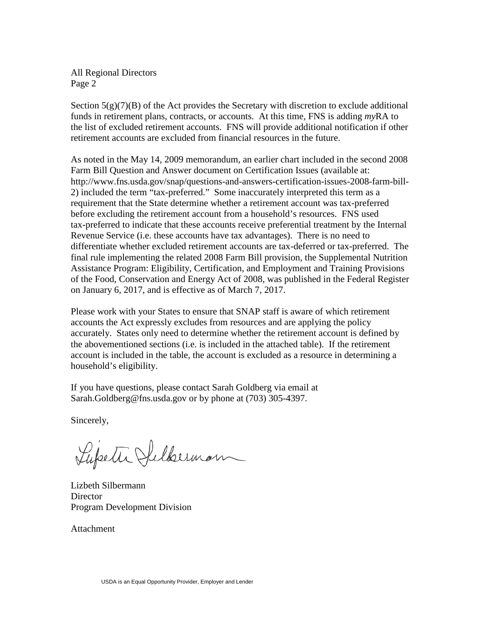All Regional Directors Page 2

Section  $5(g)(7)(B)$  of the Act provides the Secretary with discretion to exclude additional funds in retirement plans, contracts, or accounts. At this time, FNS is adding *my*RA to the list of excluded retirement accounts. FNS will provide additional notification if other retirement accounts are excluded from financial resources in the future.

As noted in the May 14, 2009 memorandum, an earlier chart included in the second 2008 Farm Bill Question and Answer document on Certification Issues (available at: http://www.fns.usda.gov/snap/questions-and-answers-certification-issues-2008-farm-bill-2) included the term "tax-preferred." Some inaccurately interpreted this term as a requirement that the State determine whether a retirement account was tax-preferred before excluding the retirement account from a household's resources. FNS used tax-preferred to indicate that these accounts receive preferential treatment by the Internal Revenue Service (i.e. these accounts have tax advantages). There is no need to differentiate whether excluded retirement accounts are tax-deferred or tax-preferred. The final rule implementing the related 2008 Farm Bill provision, the Supplemental Nutrition Assistance Program: Eligibility, Certification, and Employment and Training Provisions of the Food, Conservation and Energy Act of 2008, was published in the Federal Register on January 6, 2017, and is effective as of March 7, 2017.

Please work with your States to ensure that SNAP staff is aware of which retirement accounts the Act expressly excludes from resources and are applying the policy accurately. States only need to determine whether the retirement account is defined by the abovementioned sections (i.e. is included in the attached table). If the retirement account is included in the table, the account is excluded as a resource in determining a household's eligibility.

If you have questions, please contact Sarah Goldberg via email at Sarah.Goldberg@fns.usda.gov or by phone at (703) 305-4397.

Sincerely,

Lupeth Sulberman

Lizbeth Silbermann **Director** Program Development Division

Attachment